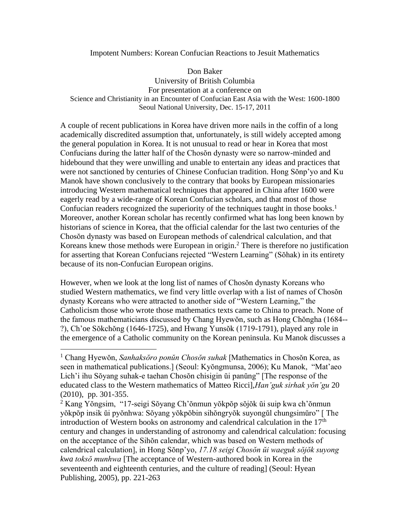### Impotent Numbers: Korean Confucian Reactions to Jesuit Mathematics

Don Baker University of British Columbia For presentation at a conference on Science and Christianity in an Encounter of Confucian East Asia with the West: 1600-1800 Seoul National University, Dec. 15-17, 2011

A couple of recent publications in Korea have driven more nails in the coffin of a long academically discredited assumption that, unfortunately, is still widely accepted among the general population in Korea. It is not unusual to read or hear in Korea that most Confucians during the latter half of the Chosŏn dynasty were so narrow-minded and hidebound that they were unwilling and unable to entertain any ideas and practices that were not sanctioned by centuries of Chinese Confucian tradition. Hong Sŏnp'yo and Ku Manok have shown conclusively to the contrary that books by European missionaries introducing Western mathematical techniques that appeared in China after 1600 were eagerly read by a wide-range of Korean Confucian scholars, and that most of those Confucian readers recognized the superiority of the techniques taught in those books.<sup>1</sup> Moreover, another Korean scholar has recently confirmed what has long been known by historians of science in Korea, that the official calendar for the last two centuries of the Chosŏn dynasty was based on European methods of calendrical calculation, and that Koreans knew those methods were European in origin. <sup>2</sup> There is therefore no justification for asserting that Korean Confucians rejected "Western Learning" (Sŏhak) in its entirety because of its non-Confucian European origins.

However, when we look at the long list of names of Chosŏn dynasty Koreans who studied Western mathematics, we find very little overlap with a list of names of Chosŏn dynasty Koreans who were attracted to another side of "Western Learning," the Catholicism those who wrote those mathematics texts came to China to preach. None of the famous mathematicians discussed by Chang Hyewŏn, such as Hong Chŏngha (1684-- ?), Ch'oe Sŏkchŏng (1646-1725), and Hwang Yunsŏk (1719-1791), played any role in the emergence of a Catholic community on the Korean peninsula. Ku Manok discusses a

<sup>1</sup> Chang Hyewŏn, *Sanhaksŏro ponŭn Chosŏn suhak* [Mathematics in Chosŏn Korea, as seen in mathematical publications.] (Seoul: Kyŏngmunsa, 2006); Ku Manok, "Mat'aeo Lich'i ihu Sŏyang suhak-e taehan Chosŏn chisigin ŭi panŭng" [The response of the educated class to the Western mathematics of Matteo Ricci],*Han'guk sirhak yŏn'gu* 20 (2010), pp. 301-355.

<sup>2</sup> Kang Yŏngsim, "17-seigi Sŏyang Ch'ŏnmun yŏkpŏp sŏjŏk ŭi suip kwa ch'ŏnmun yŏkpŏp insik ŭi pyŏnhwa: Sŏyang yŏkpŏbin sihŏngryŏk suyongŭl chungsimŭro" [ The introduction of Western books on astronomy and calendrical calculation in the  $17<sup>th</sup>$ century and changes in understanding of astronomy and calendrical calculation: focusing on the acceptance of the Sihŏn calendar, which was based on Western methods of calendrical calculation], in Hong Sŏnp'yo, *17.18 seigi Chosŏn ŭi waeguk sŏjŏk suyong kwa toksŏ munhwa* [The acceptance of Western-authored book in Korea in the seventeenth and eighteenth centuries, and the culture of reading] (Seoul: Hyean Publishing, 2005), pp. 221-263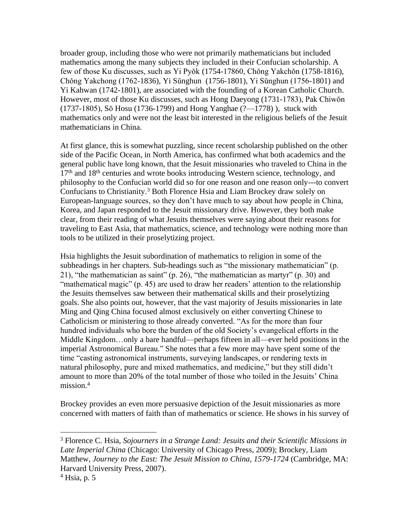broader group, including those who were not primarily mathematicians but included mathematics among the many subjects they included in their Confucian scholarship. A few of those Ku discusses, such as Yi Pyŏk (1754-17860, Chŏng Yakchŏn (1758-1816), Chŏng Yakchong (1762-1836), Yi Sŭnghun (1756-1801), Yi Sŭnghun (1756-1801) and Yi Kahwan (1742-1801), are associated with the founding of a Korean Catholic Church. However, most of those Ku discusses, such as Hong Daeyong (1731-1783), Pak Chiwŏn (1737-1805), Sŏ Hosu (1736-1799) and Hong Yanghae (?—1778) ), stuck with mathematics only and were not the least bit interested in the religious beliefs of the Jesuit mathematicians in China.

At first glance, this is somewhat puzzling, since recent scholarship published on the other side of the Pacific Ocean, in North America, has confirmed what both academics and the general public have long known, that the Jesuit missionaries who traveled to China in the  $17<sup>th</sup>$  and  $18<sup>th</sup>$  centuries and wrote books introducing Western science, technology, and philosophy to the Confucian world did so for one reason and one reason only---to convert Confucians to Christianity.<sup>3</sup> Both Florence Hsia and Liam Brockey draw solely on European-language sources, so they don't have much to say about how people in China, Korea, and Japan responded to the Jesuit missionary drive. However, they both make clear, from their reading of what Jesuits themselves were saying about their reasons for traveling to East Asia, that mathematics, science, and technology were nothing more than tools to be utilized in their proselytizing project.

Hsia highlights the Jesuit subordination of mathematics to religion in some of the subheadings in her chapters. Sub-headings such as "the missionary mathematician" (p. 21), "the mathematician as saint" (p. 26), "the mathematician as martyr" (p. 30) and "mathematical magic" (p. 45) are used to draw her readers' attention to the relationship the Jesuits themselves saw between their mathematical skills and their proselytizing goals. She also points out, however, that the vast majority of Jesuits missionaries in late Ming and Qing China focused almost exclusively on either converting Chinese to Catholicism or ministering to those already converted. "As for the more than four hundred individuals who bore the burden of the old Society's evangelical efforts in the Middle Kingdom…only a bare handful—perhaps fifteen in all—ever held positions in the imperial Astronomical Bureau." She notes that a few more may have spent some of the time "casting astronomical instruments, surveying landscapes, or rendering texts in natural philosophy, pure and mixed mathematics, and medicine," but they still didn't amount to more than 20% of the total number of those who toiled in the Jesuits' China mission.<sup>4</sup>

Brockey provides an even more persuasive depiction of the Jesuit missionaries as more concerned with matters of faith than of mathematics or science. He shows in his survey of

<sup>3</sup> Florence C. Hsia, *Sojourners in a Strange Land: Jesuits and their Scientific Missions in Late Imperial China* (Chicago: University of Chicago Press, 2009); Brockey, Liam Matthew, *Journey to the East: The Jesuit Mission to China, 1579-1724* (Cambridge, MA: Harvard University Press, 2007).

 $<sup>4</sup>$  Hsia, p. 5</sup>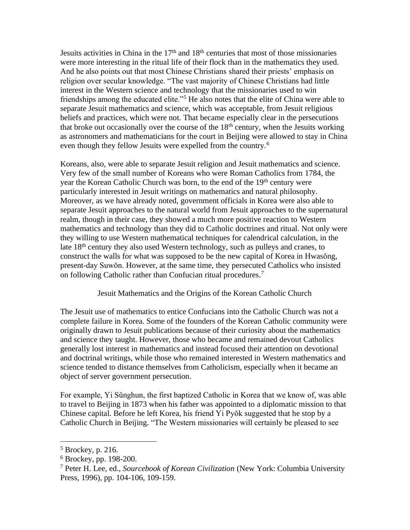Jesuits activities in China in the  $17<sup>th</sup>$  and  $18<sup>th</sup>$  centuries that most of those missionaries were more interesting in the ritual life of their flock than in the mathematics they used. And he also points out that most Chinese Christians shared their priests' emphasis on religion over secular knowledge. "The vast majority of Chinese Christians had little interest in the Western science and technology that the missionaries used to win friendships among the educated elite."<sup>5</sup> He also notes that the elite of China were able to separate Jesuit mathematics and science, which was acceptable, from Jesuit religious beliefs and practices, which were not. That became especially clear in the persecutions that broke out occasionally over the course of the  $18<sup>th</sup>$  century, when the Jesuits working as astronomers and mathematicians for the court in Beijing were allowed to stay in China even though they fellow Jesuits were expelled from the country.<sup>6</sup>

Koreans, also, were able to separate Jesuit religion and Jesuit mathematics and science. Very few of the small number of Koreans who were Roman Catholics from 1784, the year the Korean Catholic Church was born, to the end of the 19<sup>th</sup> century were particularly interested in Jesuit writings on mathematics and natural philosophy. Moreover, as we have already noted, government officials in Korea were also able to separate Jesuit approaches to the natural world from Jesuit approaches to the supernatural realm, though in their case, they showed a much more positive reaction to Western mathematics and technology than they did to Catholic doctrines and ritual. Not only were they willing to use Western mathematical techniques for calendrical calculation, in the late  $18<sup>th</sup>$  century they also used Western technology, such as pulleys and cranes, to construct the walls for what was supposed to be the new capital of Korea in Hwasŏng, present-day Suwŏn. However, at the same time, they persecuted Catholics who insisted on following Catholic rather than Confucian ritual procedures.<sup>7</sup>

### Jesuit Mathematics and the Origins of the Korean Catholic Church

The Jesuit use of mathematics to entice Confucians into the Catholic Church was not a complete failure in Korea. Some of the founders of the Korean Catholic community were originally drawn to Jesuit publications because of their curiosity about the mathematics and science they taught. However, those who became and remained devout Catholics generally lost interest in mathematics and instead focused their attention on devotional and doctrinal writings, while those who remained interested in Western mathematics and science tended to distance themselves from Catholicism, especially when it became an object of server government persecution.

For example, Yi Sŭnghun, the first baptized Catholic in Korea that we know of, was able to travel to Beijing in 1873 when his father was appointed to a diplomatic mission to that Chinese capital. Before he left Korea, his friend Yi Pyŏk suggested that he stop by a Catholic Church in Beijing. "The Western missionaries will certainly be pleased to see

<sup>5</sup> Brockey, p. 216.

<sup>6</sup> Brockey, pp. 198-200.

<sup>7</sup> Peter H. Lee, ed., *Sourcebook of Korean Civilization* (New York: Columbia University Press, 1996), pp. 104-106, 109-159.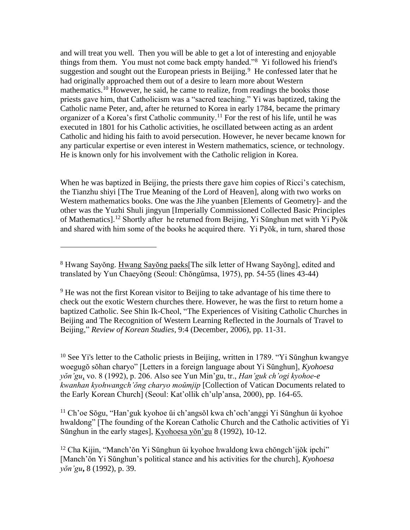and will treat you well. Then you will be able to get a lot of interesting and enjoyable things from them. You must not come back empty handed."<sup>8</sup> Yi followed his friend's suggestion and sought out the European priests in Beijing.<sup>9</sup> He confessed later that he had originally approached them out of a desire to learn more about Western mathematics.<sup>10</sup> However, he said, he came to realize, from readings the books those priests gave him, that Catholicism was a "sacred teaching." Yi was baptized, taking the Catholic name Peter, and, after he returned to Korea in early 1784, became the primary organizer of a Korea's first Catholic community. <sup>11</sup> For the rest of his life, until he was executed in 1801 for his Catholic activities, he oscillated between acting as an ardent Catholic and hiding his faith to avoid persecution. However, he never became known for any particular expertise or even interest in Western mathematics, science, or technology. He is known only for his involvement with the Catholic religion in Korea.

When he was baptized in Beijing, the priests there gave him copies of Ricci's catechism, the Tianzhu shiyi [The True Meaning of the Lord of Heaven], along with two works on Western mathematics books. One was the Jihe yuanben [Elements of Geometry]- and the other was the Yuzhi Shuli jingyun [Imperially Commissioned Collected Basic Principles of Mathematics].<sup>12</sup> Shortly after he returned from Beijing, Yi Sŭnghun met with Yi Pyŏk and shared with him some of the books he acquired there. Yi Pyŏk, in turn, shared those

<sup>10</sup> See Yi's letter to the Catholic priests in Beijing, written in 1789. "Yi Sunghun kwangye" woegugŏ sŏhan charyo" [Letters in a foreign language about Yi Sŭnghun], *Kyohoesa yŏn'gu*, vo. 8 (1992), p. 206. Also see Yun Min'gu, tr., *Han'guk ch'ogi kyohoe-e kwanhan kyohwangch'ŏng charyo moŭmjip* [Collection of Vatican Documents related to the Early Korean Church] (Seoul: Kat'ollik ch'ulp'ansa, 2000), pp. 164-65.

<sup>11</sup> Ch'oe Sŏgu, "Han'guk kyohoe ŭi ch'angsŏl kwa ch'och'anggi Yi Sŭnghun ŭi kyohoe hwaldong" [The founding of the Korean Catholic Church and the Catholic activities of Yi Sŭnghun in the early stages], Kyohoesa yŏn'gu 8 (1992), 10-12.

<sup>8</sup> Hwang Sayŏng. Hwang Sayŏng paeks[The silk letter of Hwang Sayŏng], edited and translated by Yun Chaeyŏng (Seoul: Chŏngŭmsa, 1975), pp. 54-55 (lines 43-44)

<sup>&</sup>lt;sup>9</sup> He was not the first Korean visitor to Beijing to take advantage of his time there to check out the exotic Western churches there. However, he was the first to return home a baptized Catholic. See Shin Ik-Cheol, "The Experiences of Visiting Catholic Churches in Beijing and The Recognition of Western Learning Reflected in the Journals of Travel to Beijing," *Review of Korean Studies*, 9:4 (December, 2006), pp. 11-31.

<sup>&</sup>lt;sup>12</sup> Cha Kijin, "Manch'ŏn Yi Sŭnghun ŭi kyohoe hwaldong kwa chŏngch'ijŏk ipchi" [Manch'ŏn Yi Sŭnghun's political stance and his activities for the church], *Kyohoesa yŏn'gu***,** 8 (1992), p. 39.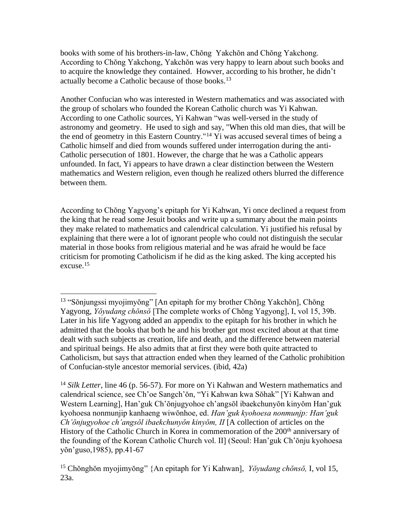books with some of his brothers-in-law, Chŏng Yakchŏn and Chŏng Yakchong. According to Chŏng Yakchong, Yakchŏn was very happy to learn about such books and to acquire the knowledge they contained. Howver, according to his brother, he didn't actually become a Catholic because of those books.<sup>13</sup>

Another Confucian who was interested in Western mathematics and was associated with the group of scholars who founded the Korean Catholic church was Yi Kahwan. According to one Catholic sources, Yi Kahwan "was well-versed in the study of astronomy and geometry. He used to sigh and say, "When this old man dies, that will be the end of geometry in this Eastern Country."<sup>14</sup> Yi was accused several times of being a Catholic himself and died from wounds suffered under interrogation during the anti-Catholic persecution of 1801. However, the charge that he was a Catholic appears unfounded. In fact, Yi appears to have drawn a clear distinction between the Western mathematics and Western religion, even though he realized others blurred the difference between them.

According to Chŏng Yagyong's epitaph for Yi Kahwan, Yi once declined a request from the king that he read some Jesuit books and write up a summary about the main points they make related to mathematics and calendrical calculation. Yi justified his refusal by explaining that there were a lot of ignorant people who could not distinguish the secular material in those books from religious material and he was afraid he would be face criticism for promoting Catholicism if he did as the king asked. The king accepted his excuse.<sup>15</sup>

<sup>13</sup> "Sŏnjungssi myojimyŏng" [An epitaph for my brother Chŏng Yakchŏn], Chŏng Yagyong, *Yŏyudang chŏnsŏ* [The complete works of Chŏng Yagyong], I, vol 15, 39b. Later in his life Yagyong added an appendix to the epitaph for his brother in which he admitted that the books that both he and his brother got most excited about at that time dealt with such subjects as creation, life and death, and the difference between material and spiritual beings. He also admits that at first they were both quite attracted to Catholicism, but says that attraction ended when they learned of the Catholic prohibition of Confucian-style ancestor memorial services. (ibid, 42a)

<sup>&</sup>lt;sup>14</sup> *Silk Letter*, line 46 (p. 56-57). For more on Yi Kahwan and Western mathematics and calendrical science, see Ch'oe Sangch'ŏn, "Yi Kahwan kwa Sŏhak" [Yi Kahwan and Western Learning], Han'guk Ch'ŏnjugyohoe ch'angsŏl ibaekchunyŏn kinyŏm Han'guk kyohoesa nonmunjip kanhaeng wiwŏnhoe, ed. *Han'guk kyohoesa nonmunjp: Han'guk Ch'ŏnjugyohoe ch'angsŏl ibaekchunyŏn kinyŏm, II* [A collection of articles on the History of the Catholic Church in Korea in commemoration of the 200<sup>th</sup> anniversary of the founding of the Korean Catholic Church vol. II] (Seoul: Han'guk Ch'ŏnju kyohoesa yŏn'guso,1985), pp.41-67

<sup>15</sup> Chŏnghŏn myojimyŏng" {An epitaph for Yi Kahwan], *Yŏyudang chŏnsŏ,* I, vol 15, 23a.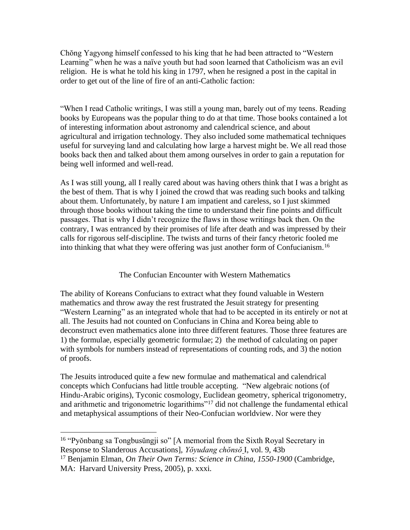Chŏng Yagyong himself confessed to his king that he had been attracted to "Western Learning" when he was a naïve youth but had soon learned that Catholicism was an evil religion. He is what he told his king in 1797, when he resigned a post in the capital in order to get out of the line of fire of an anti-Catholic faction:

"When I read Catholic writings, I was still a young man, barely out of my teens. Reading books by Europeans was the popular thing to do at that time. Those books contained a lot of interesting information about astronomy and calendrical science, and about agricultural and irrigation technology. They also included some mathematical techniques useful for surveying land and calculating how large a harvest might be. We all read those books back then and talked about them among ourselves in order to gain a reputation for being well informed and well-read.

As I was still young, all I really cared about was having others think that I was a bright as the best of them. That is why I joined the crowd that was reading such books and talking about them. Unfortunately, by nature I am impatient and careless, so I just skimmed through those books without taking the time to understand their fine points and difficult passages. That is why I didn't recognize the flaws in those writings back then. On the contrary, I was entranced by their promises of life after death and was impressed by their calls for rigorous self-discipline. The twists and turns of their fancy rhetoric fooled me into thinking that what they were offering was just another form of Confucianism.<sup>16</sup>

# The Confucian Encounter with Western Mathematics

The ability of Koreans Confucians to extract what they found valuable in Western mathematics and throw away the rest frustrated the Jesuit strategy for presenting "Western Learning" as an integrated whole that had to be accepted in its entirely or not at all. The Jesuits had not counted on Confucians in China and Korea being able to deconstruct even mathematics alone into three different features. Those three features are 1) the formulae, especially geometric formulae; 2) the method of calculating on paper with symbols for numbers instead of representations of counting rods, and 3) the notion of proofs.

The Jesuits introduced quite a few new formulae and mathematical and calendrical concepts which Confucians had little trouble accepting. "New algebraic notions (of Hindu-Arabic origins), Tyconic cosmology, Euclidean geometry, spherical trigonometry, and arithmetic and trigonometric logarithims"<sup>17</sup> did not challenge the fundamental ethical and metaphysical assumptions of their Neo-Confucian worldview. Nor were they

<sup>16</sup> "Pyŏnbang sa Tongbusŭngji so" [A memorial from the Sixth Royal Secretary in Response to Slanderous Accusations], *Yŏyudang chŏnsŏ* I, vol. 9, 43b

<sup>17</sup> Benjamin Elman, *On Their Own Terms: Science in China, 1550-1900* (Cambridge, MA: Harvard University Press, 2005), p. xxxi.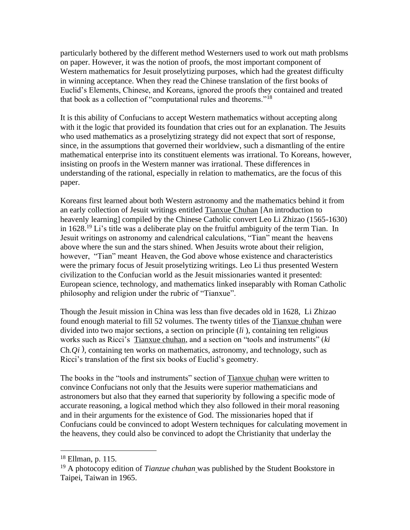particularly bothered by the different method Westerners used to work out math problsms on paper. However, it was the notion of proofs, the most important component of Western mathematics for Jesuit proselytizing purposes, which had the greatest difficulty in winning acceptance. When they read the Chinese translation of the first books of Euclid's Elements, Chinese, and Koreans, ignored the proofs they contained and treated that book as a collection of "computational rules and theorems."<sup>18</sup>

It is this ability of Confucians to accept Western mathematics without accepting along with it the logic that provided its foundation that cries out for an explanation. The Jesuits who used mathematics as a proselytizing strategy did not expect that sort of response, since, in the assumptions that governed their worldview, such a dismantling of the entire mathematical enterprise into its constituent elements was irrational. To Koreans, however, insisting on proofs in the Western manner was irrational. These differences in understanding of the rational, especially in relation to mathematics, are the focus of this paper.

Koreans first learned about both Western astronomy and the mathematics behind it from an early collection of Jesuit writings entitled Tianxue Chuhan [An introduction to heavenly learning] compiled by the Chinese Catholic convert Leo Li Zhizao (1565-1630) in 1628.<sup>19</sup> Li's title was a deliberate play on the fruitful ambiguity of the term Tian. In Jesuit writings on astronomy and calendrical calculations, "Tian" meant the heavens above where the sun and the stars shined. When Jesuits wrote about their religion, however, "Tian" meant Heaven, the God above whose existence and characteristics were the primary focus of Jesuit proselytizing writings. Leo Li thus presented Western civilization to the Confucian world as the Jesuit missionaries wanted it presented: European science, technology, and mathematics linked inseparably with Roman Catholic philosophy and religion under the rubric of "Tianxue".

Though the Jesuit mission in China was less than five decades old in 1628, Li Zhizao found enough material to fill 52 volumes. The twenty titles of the Tianxue chuhan were divided into two major sections, a section on principle (*li* ), containing ten religious works such as Ricci's Tianxue chuhan, and a section on "tools and instruments" (*ki*  Ch*.Qi* ), containing ten works on mathematics, astronomy, and technology, such as Ricci's translation of the first six books of Euclid's geometry.

The books in the "tools and instruments" section of Tianxue chuhan were written to convince Confucians not only that the Jesuits were superior mathematicians and astronomers but also that they earned that superiority by following a specific mode of accurate reasoning, a logical method which they also followed in their moral reasoning and in their arguments for the existence of God. The missionaries hoped that if Confucians could be convinced to adopt Western techniques for calculating movement in the heavens, they could also be convinced to adopt the Christianity that underlay the

<sup>18</sup> Ellman, p. 115.

<sup>19</sup> A photocopy edition of *Tianzue chuhan* was published by the Student Bookstore in Taipei, Taiwan in 1965.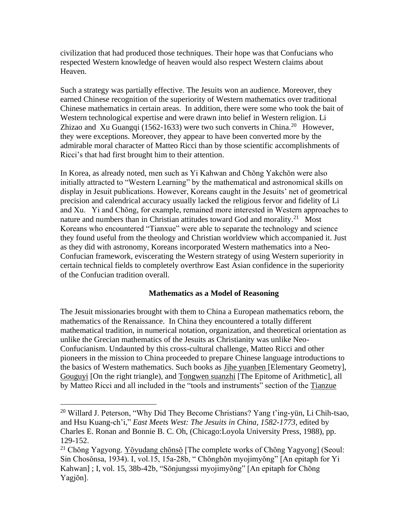civilization that had produced those techniques. Their hope was that Confucians who respected Western knowledge of heaven would also respect Western claims about Heaven.

Such a strategy was partially effective. The Jesuits won an audience. Moreover, they earned Chinese recognition of the superiority of Western mathematics over traditional Chinese mathematics in certain areas. In addition, there were some who took the bait of Western technological expertise and were drawn into belief in Western religion. Li Zhizao and Xu Guangqi (1562-1633) were two such converts in China.<sup>20</sup> However, they were exceptions. Moreover, they appear to have been converted more by the admirable moral character of Matteo Ricci than by those scientific accomplishments of Ricci's that had first brought him to their attention.

In Korea, as already noted, men such as Yi Kahwan and Chŏng Yakchŏn were also initially attracted to "Western Learning" by the mathematical and astronomical skills on display in Jesuit publications. However, Koreans caught in the Jesuits' net of geometrical precision and calendrical accuracy usually lacked the religious fervor and fidelity of Li and Xu. Yi and Chŏng, for example, remained more interested in Western approaches to nature and numbers than in Christian attitudes toward God and morality.<sup>21</sup> Most Koreans who encountered "Tianxue" were able to separate the technology and science they found useful from the theology and Christian worldview which accompanied it. Just as they did with astronomy, Koreans incorporated Western mathematics into a Neo-Confucian framework, eviscerating the Western strategy of using Western superiority in certain technical fields to completely overthrow East Asian confidence in the superiority of the Confucian tradition overall.

# **Mathematics as a Model of Reasoning**

The Jesuit missionaries brought with them to China a European mathematics reborn, the mathematics of the Renaissance. In China they encountered a totally different mathematical tradition, in numerical notation, organization, and theoretical orientation as unlike the Grecian mathematics of the Jesuits as Christianity was unlike Neo-Confucianism. Undaunted by this cross-cultural challenge, Matteo Ricci and other pioneers in the mission to China proceeded to prepare Chinese language introductions to the basics of Western mathematics. Such books as Jihe yuanben [Elementary Geometry], Gouguyi [On the right triangle), and Tongwen suanzhi [The Epitome of Arithmetic], all by Matteo Ricci and all included in the "tools and instruments" section of the Tianzue

<sup>20</sup> Willard J. Peterson, "Why Did They Become Christians? Yang t'ing-yün, Li Chih-tsao, and Hsu Kuang-ch'i," *East Meets West: The Jesuits in China, 1582-1773*, edited by Charles E. Ronan and Bonnie B. C. Oh, (Chicago:Loyola University Press, 1988), pp. 129-152.

<sup>&</sup>lt;sup>21</sup> Chŏng Yagyong. Yŏyudang chŏnsŏ [The complete works of Chŏng Yagyong] (Seoul: Sin Chosŏnsa, 1934). I, vol.15, 15a-28b, " Chŏnghŏn myojimyŏng" [An epitaph for Yi Kahwan] ; I, vol. 15, 38b-42b, "Sŏnjungssi myojimyŏng" [An epitaph for Chŏng Yagjŏn].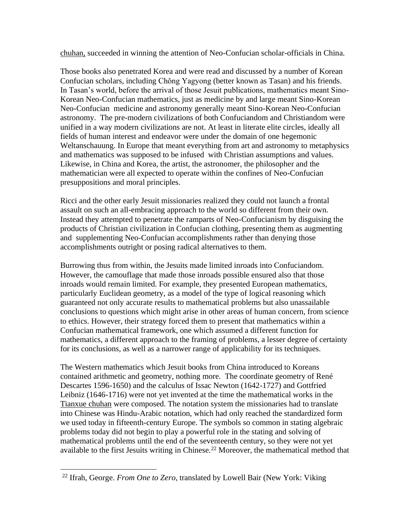chuhan, succeeded in winning the attention of Neo-Confucian scholar-officials in China.

Those books also penetrated Korea and were read and discussed by a number of Korean Confucian scholars, including Chŏng Yagyong (better known as Tasan) and his friends. In Tasan's world, before the arrival of those Jesuit publications, mathematics meant Sino-Korean Neo-Confucian mathematics, just as medicine by and large meant Sino-Korean Neo-Confucian medicine and astronomy generally meant Sino-Korean Neo-Confucian astronomy. The pre-modern civilizations of both Confuciandom and Christiandom were unified in a way modern civilizations are not. At least in literate elite circles, ideally all fields of human interest and endeavor were under the domain of one hegemonic Weltanschauung. In Europe that meant everything from art and astronomy to metaphysics and mathematics was supposed to be infused with Christian assumptions and values. Likewise, in China and Korea, the artist, the astronomer, the philosopher and the mathematician were all expected to operate within the confines of Neo-Confucian presuppositions and moral principles.

Ricci and the other early Jesuit missionaries realized they could not launch a frontal assault on such an all-embracing approach to the world so different from their own. Instead they attempted to penetrate the ramparts of Neo-Confucianism by disguising the products of Christian civilization in Confucian clothing, presenting them as augmenting and supplementing Neo-Confucian accomplishments rather than denying those accomplishments outright or posing radical alternatives to them.

Burrowing thus from within, the Jesuits made limited inroads into Confuciandom. However, the camouflage that made those inroads possible ensured also that those inroads would remain limited. For example, they presented European mathematics, particularly Euclidean geometry, as a model of the type of logical reasoning which guaranteed not only accurate results to mathematical problems but also unassailable conclusions to questions which might arise in other areas of human concern, from science to ethics. However, their strategy forced them to present that mathematics within a Confucian mathematical framework, one which assumed a different function for mathematics, a different approach to the framing of problems, a lesser degree of certainty for its conclusions, as well as a narrower range of applicability for its techniques.

The Western mathematics which Jesuit books from China introduced to Koreans contained arithmetic and geometry, nothing more. The coordinate geometry of René Descartes 1596-1650) and the calculus of Issac Newton (1642-1727) and Gottfried Leibniz (1646-1716) were not yet invented at the time the mathematical works in the Tianxue chuhan were composed. The notation system the missionaries had to translate into Chinese was Hindu-Arabic notation, which had only reached the standardized form we used today in fifteenth-century Europe. The symbols so common in stating algebraic problems today did not begin to play a powerful role in the stating and solving of mathematical problems until the end of the seventeenth century, so they were not yet available to the first Jesuits writing in Chinese.<sup>22</sup> Moreover, the mathematical method that

<sup>22</sup> Ifrah, George. *From One to Zero*, translated by Lowell Bair (New York: Viking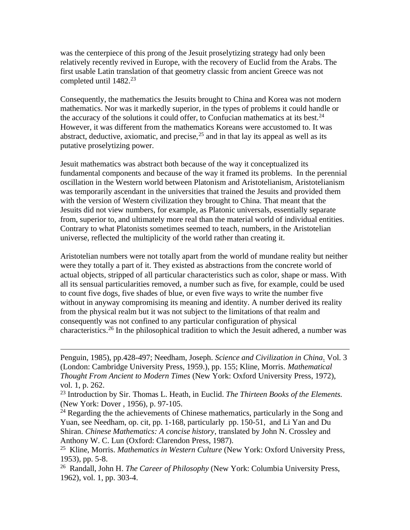was the centerpiece of this prong of the Jesuit proselytizing strategy had only been relatively recently revived in Europe, with the recovery of Euclid from the Arabs. The first usable Latin translation of that geometry classic from ancient Greece was not completed until 1482.<sup>23</sup>

Consequently, the mathematics the Jesuits brought to China and Korea was not modern mathematics. Nor was it markedly superior, in the types of problems it could handle or the accuracy of the solutions it could offer, to Confucian mathematics at its best. $24$ However, it was different from the mathematics Koreans were accustomed to. It was abstract, deductive, axiomatic, and precise,  $2<sup>5</sup>$  and in that lay its appeal as well as its putative proselytizing power.

Jesuit mathematics was abstract both because of the way it conceptualized its fundamental components and because of the way it framed its problems. In the perennial oscillation in the Western world between Platonism and Aristotelianism, Aristotelianism was temporarily ascendant in the universities that trained the Jesuits and provided them with the version of Western civilization they brought to China. That meant that the Jesuits did not view numbers, for example, as Platonic universals, essentially separate from, superior to, and ultimately more real than the material world of individual entities. Contrary to what Platonists sometimes seemed to teach, numbers, in the Aristotelian universe, reflected the multiplicity of the world rather than creating it.

Aristotelian numbers were not totally apart from the world of mundane reality but neither were they totally a part of it. They existed as abstractions from the concrete world of actual objects, stripped of all particular characteristics such as color, shape or mass. With all its sensual particularities removed, a number such as five, for example, could be used to count five dogs, five shades of blue, or even five ways to write the number five without in anyway compromising its meaning and identity. A number derived its reality from the physical realm but it was not subject to the limitations of that realm and consequently was not confined to any particular configuration of physical characteristics.<sup>26</sup> In the philosophical tradition to which the Jesuit adhered, a number was

Penguin, 1985), pp.428-497; Needham, Joseph. *Science and Civilization in China*. Vol. 3 (London: Cambridge University Press, 1959.), pp. 155; Kline, Morris. *Mathematical Thought From Ancient to Modern Times* (New York: Oxford University Press, 1972), vol. 1, p. 262.

<sup>23</sup> Introduction by Sir. Thomas L. Heath, in Euclid. *The Thirteen Books of the Elements.* (New York: Dover , 1956), p. 97-105.

 $24$  Regarding the the achievements of Chinese mathematics, particularly in the Song and Yuan, see Needham, op. cit, pp. 1-168, particularly pp. 150-51, and Li Yan and Du Shiran. *Chinese Mathematics: A concise history*, translated by John N. Crossley and Anthony W. C. Lun (Oxford: Clarendon Press, 1987).

<sup>25</sup> Kline, Morris. *Mathematics in Western Culture* (New York: Oxford University Press, 1953), pp. 5-8.

<sup>26</sup> Randall, John H. *The Career of Philosophy* (New York: Columbia University Press, 1962), vol. 1, pp. 303-4.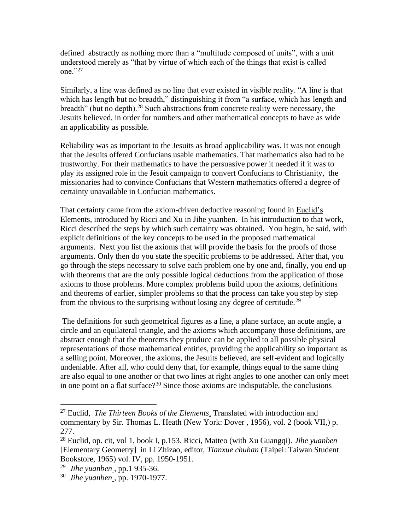defined abstractly as nothing more than a "multitude composed of units", with a unit understood merely as "that by virtue of which each of the things that exist is called one."27

Similarly, a line was defined as no line that ever existed in visible reality. "A line is that which has length but no breadth," distinguishing it from "a surface, which has length and breadth" (but no depth).<sup>28</sup> Such abstractions from concrete reality were necessary, the Jesuits believed, in order for numbers and other mathematical concepts to have as wide an applicability as possible.

Reliability was as important to the Jesuits as broad applicability was. It was not enough that the Jesuits offered Confucians usable mathematics. That mathematics also had to be trustworthy. For their mathematics to have the persuasive power it needed if it was to play its assigned role in the Jesuit campaign to convert Confucians to Christianity, the missionaries had to convince Confucians that Western mathematics offered a degree of certainty unavailable in Confucian mathematics.

That certainty came from the axiom-driven deductive reasoning found in Euclid's Elements, introduced by Ricci and Xu in Jihe yuanben. In his introduction to that work, Ricci described the steps by which such certainty was obtained. You begin, he said, with explicit definitions of the key concepts to be used in the proposed mathematical arguments. Next you list the axioms that will provide the basis for the proofs of those arguments. Only then do you state the specific problems to be addressed. After that, you go through the steps necessary to solve each problem one by one and, finally, you end up with theorems that are the only possible logical deductions from the application of those axioms to those problems. More complex problems build upon the axioms, definitions and theorems of earlier, simpler problems so that the process can take you step by step from the obvious to the surprising without losing any degree of certitude.<sup>29</sup>

The definitions for such geometrical figures as a line, a plane surface, an acute angle, a circle and an equilateral triangle, and the axioms which accompany those definitions, are abstract enough that the theorems they produce can be applied to all possible physical representations of those mathematical entities, providing the applicability so important as a selling point. Moreover, the axioms, the Jesuits believed, are self-evident and logically undeniable. After all, who could deny that, for example, things equal to the same thing are also equal to one another or that two lines at right angles to one another can only meet in one point on a flat surface?<sup>30</sup> Since those axioms are indisputable, the conclusions

<sup>27</sup> Euclid, *The Thirteen Books of the Elements*. Translated with introduction and commentary by Sir. Thomas L. Heath (New York: Dover , 1956), vol. 2 (book VII,) p. 277.

<sup>28</sup> Euclid, op. cit, vol 1, book I, p.153. Ricci, Matteo (with Xu Guangqi). *Jihe yuanben* [Elementary Geometry] in Li Zhizao, editor, *Tianxue chuhan* (Taipei: Taiwan Student Bookstore, 1965) vol. IV, pp. 1950-1951.

<sup>29</sup> *Jihe yuanben* , pp.1 935-36.

<sup>30</sup> *Jihe yuanben* , pp. 1970-1977.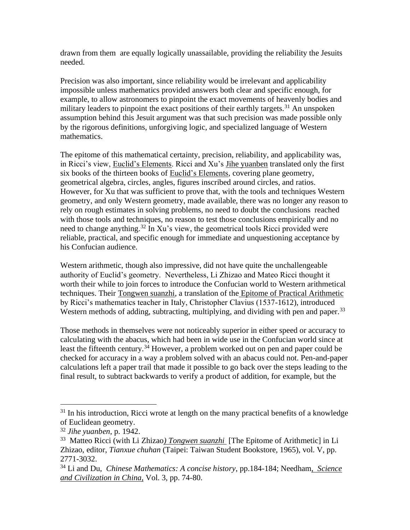drawn from them are equally logically unassailable, providing the reliability the Jesuits needed.

Precision was also important, since reliability would be irrelevant and applicability impossible unless mathematics provided answers both clear and specific enough, for example, to allow astronomers to pinpoint the exact movements of heavenly bodies and military leaders to pinpoint the exact positions of their earthly targets.<sup>31</sup> An unspoken assumption behind this Jesuit argument was that such precision was made possible only by the rigorous definitions, unforgiving logic, and specialized language of Western mathematics.

The epitome of this mathematical certainty, precision, reliability, and applicability was, in Ricci's view, Euclid's Elements. Ricci and Xu's Jihe yuanben translated only the first six books of the thirteen books of Euclid's Elements, covering plane geometry, geometrical algebra, circles, angles, figures inscribed around circles, and ratios. However, for Xu that was sufficient to prove that, with the tools and techniques Western geometry, and only Western geometry, made available, there was no longer any reason to rely on rough estimates in solving problems, no need to doubt the conclusions reached with those tools and techniques, no reason to test those conclusions empirically and no need to change anything.<sup>32</sup> In Xu's view, the geometrical tools Ricci provided were reliable, practical, and specific enough for immediate and unquestioning acceptance by his Confucian audience.

Western arithmetic, though also impressive, did not have quite the unchallengeable authority of Euclid's geometry. Nevertheless, Li Zhizao and Mateo Ricci thought it worth their while to join forces to introduce the Confucian world to Western arithmetical techniques. Their Tongwen suanzhi, a translation of the Epitome of Practical Arithmetic by Ricci's mathematics teacher in Italy, Christopher Clavius (1537-1612), introduced Western methods of adding, subtracting, multiplying, and dividing with pen and paper.<sup>33</sup>

Those methods in themselves were not noticeably superior in either speed or accuracy to calculating with the abacus, which had been in wide use in the Confucian world since at least the fifteenth century.<sup>34</sup> However, a problem worked out on pen and paper could be checked for accuracy in a way a problem solved with an abacus could not. Pen-and-paper calculations left a paper trail that made it possible to go back over the steps leading to the final result, to subtract backwards to verify a product of addition, for example, but the

 $31$  In his introduction, Ricci wrote at length on the many practical benefits of a knowledge of Euclidean geometry.

<sup>32</sup> *Jihe yuanben*, p. 1942.

<sup>33</sup> Matteo Ricci (with Li Zhizao*) Tongwen suanzhi* [The Epitome of Arithmetic] in Li Zhizao, editor, *Tianxue chuhan* (Taipei: Taiwan Student Bookstore, 1965), vol. V, pp. 2771-3032.

<sup>34</sup> Li and Du, *Chinese Mathematics: A concise history*, pp.184-184; Needham*, Science and Civilization in China*, Vol. 3, pp. 74-80.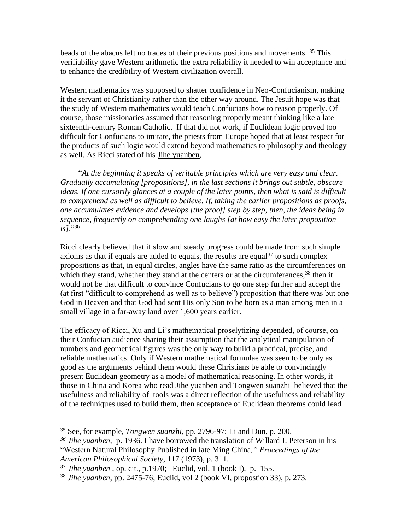beads of the abacus left no traces of their previous positions and movements. <sup>35</sup> This verifiability gave Western arithmetic the extra reliability it needed to win acceptance and to enhance the credibility of Western civilization overall.

Western mathematics was supposed to shatter confidence in Neo-Confucianism, making it the servant of Christianity rather than the other way around. The Jesuit hope was that the study of Western mathematics would teach Confucians how to reason properly. Of course, those missionaries assumed that reasoning properly meant thinking like a late sixteenth-century Roman Catholic. If that did not work, if Euclidean logic proved too difficult for Confucians to imitate, the priests from Europe hoped that at least respect for the products of such logic would extend beyond mathematics to philosophy and theology as well. As Ricci stated of his Jihe yuanben,

"*At the beginning it speaks of veritable principles which are very easy and clear. Gradually accumulating [propositions], in the last sections it brings out subtle, obscure ideas. If one cursorily glances at a couple of the later points, then what is said is difficult to comprehend as well as difficult to believe. If, taking the earlier propositions as proofs, one accumulates evidence and develops [the proof] step by step, then, the ideas being in sequence, frequently on comprehending one laughs [at how easy the later proposition is]*."<sup>36</sup>

Ricci clearly believed that if slow and steady progress could be made from such simple axioms as that if equals are added to equals, the results are equal<sup>37</sup> to such complex propositions as that, in equal circles, angles have the same ratio as the circumferences on which they stand, whether they stand at the centers or at the circumferences,<sup>38</sup> then it would not be that difficult to convince Confucians to go one step further and accept the (at first "difficult to comprehend as well as to believe") proposition that there was but one God in Heaven and that God had sent His only Son to be born as a man among men in a small village in a far-away land over 1,600 years earlier.

The efficacy of Ricci, Xu and Li's mathematical proselytizing depended, of course, on their Confucian audience sharing their assumption that the analytical manipulation of numbers and geometrical figures was the only way to build a practical, precise, and reliable mathematics. Only if Western mathematical formulae was seen to be only as good as the arguments behind them would these Christians be able to convincingly present Euclidean geometry as a model of mathematical reasoning. In other words, if those in China and Korea who read Jihe yuanben and Tongwen suanzhi believed that the usefulness and reliability of tools was a direct reflection of the usefulness and reliability of the techniques used to build them, then acceptance of Euclidean theorems could lead

<sup>35</sup> See, for example, *Tongwen suanzhi*, pp. 2796-97; Li and Dun, p. 200.

*<sup>36</sup> Jihe yuanben*, p. 1936. I have borrowed the translation of Willard J. Peterson in his "Western Natural Philosophy Published in late Ming China*," Proceedings of the American Philosophical Society*, 117 (1973), p. 311.

<sup>37</sup> *Jihe yuanben* , op. cit., p.1970; Euclid, vol. 1 (book I), p. 155.

<sup>38</sup> *Jihe yuanben*, pp. 2475-76; Euclid, vol 2 (book VI, propostion 33), p. 273.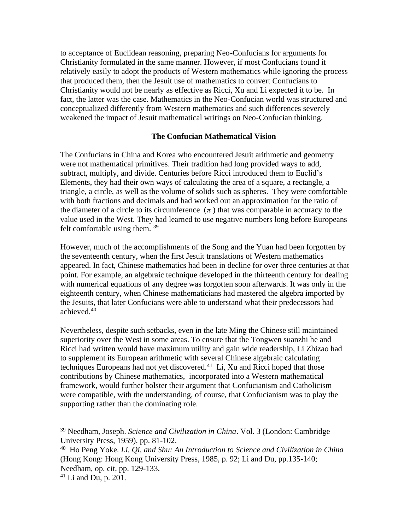to acceptance of Euclidean reasoning, preparing Neo-Confucians for arguments for Christianity formulated in the same manner. However, if most Confucians found it relatively easily to adopt the products of Western mathematics while ignoring the process that produced them, then the Jesuit use of mathematics to convert Confucians to Christianity would not be nearly as effective as Ricci, Xu and Li expected it to be. In fact, the latter was the case. Mathematics in the Neo-Confucian world was structured and conceptualized differently from Western mathematics and such differences severely weakened the impact of Jesuit mathematical writings on Neo-Confucian thinking.

# **The Confucian Mathematical Vision**

The Confucians in China and Korea who encountered Jesuit arithmetic and geometry were not mathematical primitives. Their tradition had long provided ways to add, subtract, multiply, and divide. Centuries before Ricci introduced them to Euclid's Elements, they had their own ways of calculating the area of a square, a rectangle, a triangle, a circle, as well as the volume of solids such as spheres. They were comfortable with both fractions and decimals and had worked out an approximation for the ratio of the diameter of a circle to its circumference  $(\pi)$  that was comparable in accuracy to the value used in the West. They had learned to use negative numbers long before Europeans felt comfortable using them. <sup>39</sup>

However, much of the accomplishments of the Song and the Yuan had been forgotten by the seventeenth century, when the first Jesuit translations of Western mathematics appeared. In fact, Chinese mathematics had been in decline for over three centuries at that point. For example, an algebraic technique developed in the thirteenth century for dealing with numerical equations of any degree was forgotten soon afterwards. It was only in the eighteenth century, when Chinese mathematicians had mastered the algebra imported by the Jesuits, that later Confucians were able to understand what their predecessors had achieved.<sup>40</sup>

Nevertheless, despite such setbacks, even in the late Ming the Chinese still maintained superiority over the West in some areas. To ensure that the Tongwen suanzhi he and Ricci had written would have maximum utility and gain wide readership, Li Zhizao had to supplement its European arithmetic with several Chinese algebraic calculating techniques Europeans had not yet discovered. $41$  Li, Xu and Ricci hoped that those contributions by Chinese mathematics, incorporated into a Western mathematical framework, would further bolster their argument that Confucianism and Catholicism were compatible, with the understanding, of course, that Confucianism was to play the supporting rather than the dominating role.

<sup>39</sup> Needham, Joseph. *Science and Civilization in China*. Vol. 3 (London: Cambridge University Press, 1959), pp. 81-102.

<sup>40</sup> Ho Peng Yoke. *Li, Qi, and Shu: An Introduction to Science and Civilization in China* (Hong Kong: Hong Kong University Press, 1985, p. 92; Li and Du, pp.135-140; Needham, op. cit, pp. 129-133.

<sup>41</sup> Li and Du, p. 201.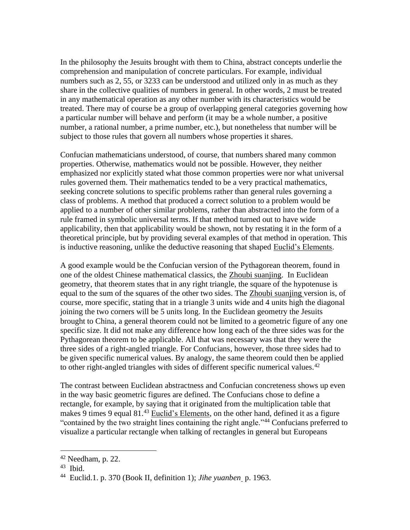In the philosophy the Jesuits brought with them to China, abstract concepts underlie the comprehension and manipulation of concrete particulars. For example, individual numbers such as 2, 55, or 3233 can be understood and utilized only in as much as they share in the collective qualities of numbers in general. In other words, 2 must be treated in any mathematical operation as any other number with its characteristics would be treated. There may of course be a group of overlapping general categories governing how a particular number will behave and perform (it may be a whole number, a positive number, a rational number, a prime number, etc.), but nonetheless that number will be subject to those rules that govern all numbers whose properties it shares.

Confucian mathematicians understood, of course, that numbers shared many common properties. Otherwise, mathematics would not be possible. However, they neither emphasized nor explicitly stated what those common properties were nor what universal rules governed them. Their mathematics tended to be a very practical mathematics, seeking concrete solutions to specific problems rather than general rules governing a class of problems. A method that produced a correct solution to a problem would be applied to a number of other similar problems, rather than abstracted into the form of a rule framed in symbolic universal terms. If that method turned out to have wide applicability, then that applicability would be shown, not by restating it in the form of a theoretical principle, but by providing several examples of that method in operation. This is inductive reasoning, unlike the deductive reasoning that shaped Euclid's Elements.

A good example would be the Confucian version of the Pythagorean theorem, found in one of the oldest Chinese mathematical classics, the Zhoubi suanjing. In Euclidean geometry, that theorem states that in any right triangle, the square of the hypotenuse is equal to the sum of the squares of the other two sides. The Zhoubi suanjing version is, of course, more specific, stating that in a triangle 3 units wide and 4 units high the diagonal joining the two corners will be 5 units long. In the Euclidean geometry the Jesuits brought to China, a general theorem could not be limited to a geometric figure of any one specific size. It did not make any difference how long each of the three sides was for the Pythagorean theorem to be applicable. All that was necessary was that they were the three sides of a right-angled triangle. For Confucians, however, those three sides had to be given specific numerical values. By analogy, the same theorem could then be applied to other right-angled triangles with sides of different specific numerical values.<sup>42</sup>

The contrast between Euclidean abstractness and Confucian concreteness shows up even in the way basic geometric figures are defined. The Confucians chose to define a rectangle, for example, by saying that it originated from the multiplication table that makes 9 times 9 equal 81.<sup>43</sup> Euclid's Elements, on the other hand, defined it as a figure "contained by the two straight lines containing the right angle."<sup>44</sup> Confucians preferred to visualize a particular rectangle when talking of rectangles in general but Europeans

 $42$  Needham, p. 22.

 $43$  Ibid.

<sup>44</sup> Euclid.1. p. 370 (Book II, definition 1); *Jihe yuanben* p. 1963.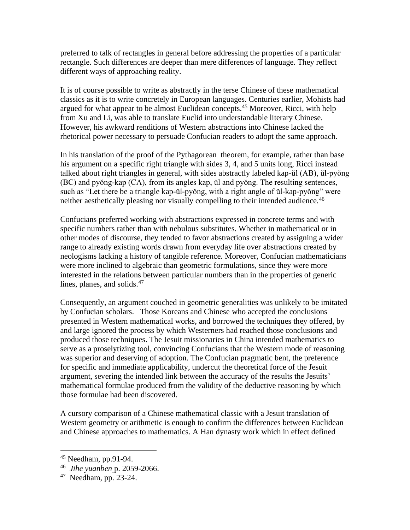preferred to talk of rectangles in general before addressing the properties of a particular rectangle. Such differences are deeper than mere differences of language. They reflect different ways of approaching reality.

It is of course possible to write as abstractly in the terse Chinese of these mathematical classics as it is to write concretely in European languages. Centuries earlier, Mohists had argued for what appear to be almost Euclidean concepts.<sup>45</sup> Moreover, Ricci, with help from Xu and Li, was able to translate Euclid into understandable literary Chinese. However, his awkward renditions of Western abstractions into Chinese lacked the rhetorical power necessary to persuade Confucian readers to adopt the same approach.

In his translation of the proof of the Pythagorean theorem, for example, rather than base his argument on a specific right triangle with sides 3, 4, and 5 units long, Ricci instead talked about right triangles in general, with sides abstractly labeled kap-ŭl (AB), ŭl-pyŏng (BC) and pyŏng-kap (CA), from its angles kap, ŭl and pyŏng. The resulting sentences, such as "Let there be a triangle kap-ŭl-pyŏng, with a right angle of ŭl-kap-pyŏng" were neither aesthetically pleasing nor visually compelling to their intended audience.<sup>46</sup>

Confucians preferred working with abstractions expressed in concrete terms and with specific numbers rather than with nebulous substitutes. Whether in mathematical or in other modes of discourse, they tended to favor abstractions created by assigning a wider range to already existing words drawn from everyday life over abstractions created by neologisms lacking a history of tangible reference. Moreover, Confucian mathematicians were more inclined to algebraic than geometric formulations, since they were more interested in the relations between particular numbers than in the properties of generic lines, planes, and solids.<sup>47</sup>

Consequently, an argument couched in geometric generalities was unlikely to be imitated by Confucian scholars. Those Koreans and Chinese who accepted the conclusions presented in Western mathematical works, and borrowed the techniques they offered, by and large ignored the process by which Westerners had reached those conclusions and produced those techniques. The Jesuit missionaries in China intended mathematics to serve as a proselytizing tool, convincing Confucians that the Western mode of reasoning was superior and deserving of adoption. The Confucian pragmatic bent, the preference for specific and immediate applicability, undercut the theoretical force of the Jesuit argument, severing the intended link between the accuracy of the results the Jesuits' mathematical formulae produced from the validity of the deductive reasoning by which those formulae had been discovered.

A cursory comparison of a Chinese mathematical classic with a Jesuit translation of Western geometry or arithmetic is enough to confirm the differences between Euclidean and Chinese approaches to mathematics. A Han dynasty work which in effect defined

 $45$  Needham, pp.91-94.

<sup>46</sup> *Jihe yuanben* p. 2059-2066.

 $47$  Needham, pp. 23-24.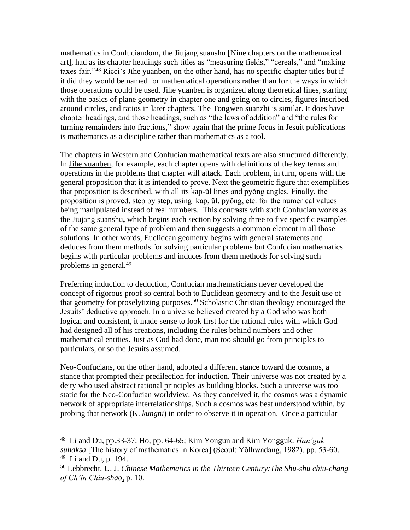mathematics in Confuciandom, the Jiujang suanshu [Nine chapters on the mathematical art], had as its chapter headings such titles as "measuring fields," "cereals," and "making taxes fair."<sup>48</sup> Ricci's Jihe yuanben, on the other hand, has no specific chapter titles but if it did they would be named for mathematical operations rather than for the ways in which those operations could be used. Jihe yuanben is organized along theoretical lines, starting with the basics of plane geometry in chapter one and going on to circles, figures inscribed around circles, and ratios in later chapters. The Tongwen suanzhi is similar. It does have chapter headings, and those headings, such as "the laws of addition" and "the rules for turning remainders into fractions," show again that the prime focus in Jesuit publications is mathematics as a discipline rather than mathematics as a tool.

The chapters in Western and Confucian mathematical texts are also structured differently. In Jihe yuanben, for example, each chapter opens with definitions of the key terms and operations in the problems that chapter will attack. Each problem, in turn, opens with the general proposition that it is intended to prove. Next the geometric figure that exemplifies that proposition is described, with all its kap-ŭl lines and pyŏng angles. Finally, the proposition is proved, step by step, using kap, ŭl, pyŏng, etc. for the numerical values being manipulated instead of real numbers. This contrasts with such Confucian works as the Jiujang suanshu**,** which begins each section by solving three to five specific examples of the same general type of problem and then suggests a common element in all those solutions. In other words, Euclidean geometry begins with general statements and deduces from them methods for solving particular problems but Confucian mathematics begins with particular problems and induces from them methods for solving such problems in general.<sup>49</sup>

Preferring induction to deduction, Confucian mathematicians never developed the concept of rigorous proof so central both to Euclidean geometry and to the Jesuit use of that geometry for proselytizing purposes.<sup>50</sup> Scholastic Christian theology encouraged the Jesuits' deductive approach. In a universe believed created by a God who was both logical and consistent, it made sense to look first for the rational rules with which God had designed all of his creations, including the rules behind numbers and other mathematical entities. Just as God had done, man too should go from principles to particulars, or so the Jesuits assumed.

Neo-Confucians, on the other hand, adopted a different stance toward the cosmos, a stance that prompted their predilection for induction. Their universe was not created by a deity who used abstract rational principles as building blocks. Such a universe was too static for the Neo-Confucian worldview. As they conceived it, the cosmos was a dynamic network of appropriate interrelationships. Such a cosmos was best understood within, by probing that network (K. *kungni*) in order to observe it in operation. Once a particular

<sup>48</sup> Li and Du, pp.33-37; Ho, pp. 64-65; Kim Yongun and Kim Yongguk. *Han'guk suhaksa* [The history of mathematics in Korea] (Seoul: Yŏlhwadang, 1982), pp. 53-60.  $49$  Li and Du, p. 194.

<sup>50</sup> Lebbrecht, U. J. *Chinese Mathematics in the Thirteen Century:The Shu-shu chiu-chang of Ch'in Chiu-shao*, p. 10.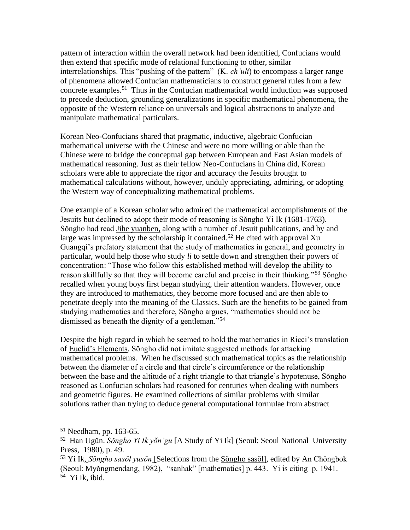pattern of interaction within the overall network had been identified, Confucians would then extend that specific mode of relational functioning to other, similar interrelationships. This "pushing of the pattern" (K. *ch'uli*) to encompass a larger range of phenomena allowed Confucian mathematicians to construct general rules from a few concrete examples.<sup>51</sup> Thus in the Confucian mathematical world induction was supposed to precede deduction, grounding generalizations in specific mathematical phenomena, the opposite of the Western reliance on universals and logical abstractions to analyze and manipulate mathematical particulars.

Korean Neo-Confucians shared that pragmatic, inductive, algebraic Confucian mathematical universe with the Chinese and were no more willing or able than the Chinese were to bridge the conceptual gap between European and East Asian models of mathematical reasoning. Just as their fellow Neo-Confucians in China did, Korean scholars were able to appreciate the rigor and accuracy the Jesuits brought to mathematical calculations without, however, unduly appreciating, admiring, or adopting the Western way of conceptualizing mathematical problems.

One example of a Korean scholar who admired the mathematical accomplishments of the Jesuits but declined to adopt their mode of reasoning is Sŏngho Yi Ik (1681-1763). Sŏngho had read Jihe yuanben, along with a number of Jesuit publications, and by and large was impressed by the scholarship it contained.<sup>52</sup> He cited with approval Xu Guangqi's prefatory statement that the study of mathematics in general, and geometry in particular, would help those who study *li* to settle down and strengthen their powers of concentration: "Those who follow this established method will develop the ability to reason skillfully so that they will become careful and precise in their thinking."<sup>53</sup> Sŏngho recalled when young boys first began studying, their attention wanders. However, once they are introduced to mathematics, they become more focused and are then able to penetrate deeply into the meaning of the Classics. Such are the benefits to be gained from studying mathematics and therefore, Sŏngho argues, "mathematics should not be dismissed as beneath the dignity of a gentleman."<sup>54</sup>

Despite the high regard in which he seemed to hold the mathematics in Ricci's translation of Euclid's Elements, Sŏngho did not imitate suggested methods for attacking mathematical problems. When he discussed such mathematical topics as the relationship between the diameter of a circle and that circle's circumference or the relationship between the base and the altitude of a right triangle to that triangle's hypotenuse, Sŏngho reasoned as Confucian scholars had reasoned for centuries when dealing with numbers and geometric figures. He examined collections of similar problems with similar solutions rather than trying to deduce general computational formulae from abstract

<sup>51</sup> Needham, pp. 163-65.

<sup>52</sup> Han Ugŭn. *Sŏngho Yi Ik yŏn'gu* [A Study of Yi Ik] (Seoul: Seoul National University Press, 1980), p. 49.

<sup>53</sup> Yi Ik, *Sŏngho sasŏl yusŏn* [Selections from the Sŏngho sasŏl], edited by An Chŏngbok (Seoul: Myŏngmendang, 1982), "sanhak" [mathematics] p. 443. Yi is citing p. 1941.

<sup>54</sup> Yi Ik, ibid.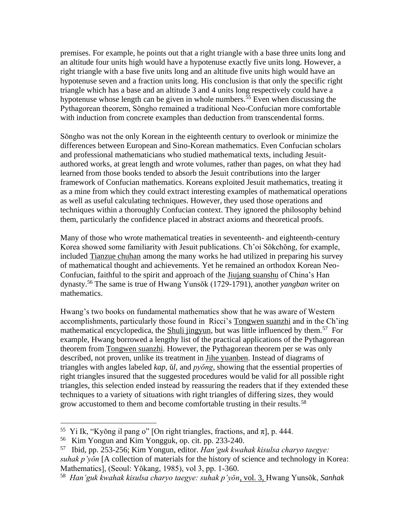premises. For example, he points out that a right triangle with a base three units long and an altitude four units high would have a hypotenuse exactly five units long. However, a right triangle with a base five units long and an altitude five units high would have an hypotenuse seven and a fraction units long. His conclusion is that only the specific right triangle which has a base and an altitude 3 and 4 units long respectively could have a hypotenuse whose length can be given in whole numbers.<sup>55</sup> Even when discussing the Pythagorean theorem, Sŏngho remained a traditional Neo-Confucian more comfortable with induction from concrete examples than deduction from transcendental forms.

Sŏngho was not the only Korean in the eighteenth century to overlook or minimize the differences between European and Sino-Korean mathematics. Even Confucian scholars and professional mathematicians who studied mathematical texts, including Jesuitauthored works, at great length and wrote volumes, rather than pages, on what they had learned from those books tended to absorb the Jesuit contributions into the larger framework of Confucian mathematics. Koreans exploited Jesuit mathematics, treating it as a mine from which they could extract interesting examples of mathematical operations as well as useful calculating techniques. However, they used those operations and techniques within a thoroughly Confucian context. They ignored the philosophy behind them, particularly the confidence placed in abstract axioms and theoretical proofs.

Many of those who wrote mathematical treaties in seventeenth- and eighteenth-century Korea showed some familiarity with Jesuit publications. Ch'oi Sŏkchŏng, for example, included Tianzue chuhan among the many works he had utilized in preparing his survey of mathematical thought and achievements. Yet he remained an orthodox Korean Neo-Confucian, faithful to the spirit and approach of the Jiujang suanshu of China's Han dynasty.<sup>56</sup> The same is true of Hwang Yunsŏk (1729-1791), another *yangban* writer on mathematics.

Hwang's two books on fundamental mathematics show that he was aware of Western accomplishments, particularly those found in Ricci's Tongwen suanzhi and in the Ch'ing mathematical encyclopedica, the **Shuli jingyun**, but was little influenced by them.<sup>57</sup> For example, Hwang borrowed a lengthy list of the practical applications of the Pythagorean theorem from Tongwen suanzhi. However, the Pythagorean theorem per se was only described, not proven, unlike its treatment in Jihe yuanben. Instead of diagrams of triangles with angles labeled *kap*, ŭ*l*, and *pyŏng*, showing that the essential properties of right triangles insured that the suggested procedures would be valid for all possible right triangles, this selection ended instead by reassuring the readers that if they extended these techniques to a variety of situations with right triangles of differing sizes, they would grow accustomed to them and become comfortable trusting in their results.<sup>58</sup>

<sup>&</sup>lt;sup>55</sup> Yi Ik, "Kyŏng il pang o" [On right triangles, fractions, and  $\pi$ ], p. 444.

<sup>56</sup> Kim Yongun and Kim Yongguk, op. cit. pp. 233-240.

<sup>57</sup> Ibid, pp. 253-256; Kim Yongun, editor. *Han'guk kwahak kisulsa charyo taegye: suhak p'yŏn* [A collection of materials for the history of science and technology in Korea: Mathematics], (Seoul: Yŏkang, 1985), vol 3, pp. 1-360.

<sup>58</sup> *Han'guk kwahak kisulsa charyo taegye: suhak p'yŏn*, vol. 3, Hwang Yunsŏk, *Sanhak*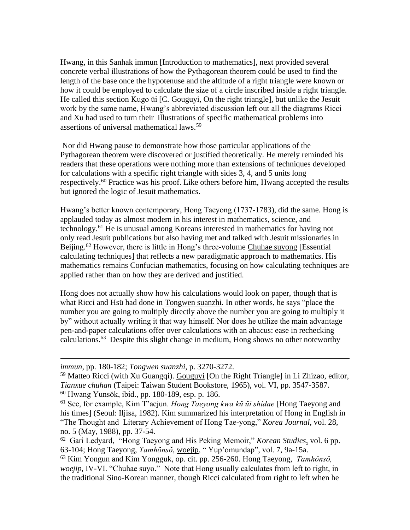Hwang, in this Sanhak immun [Introduction to mathematics], next provided several concrete verbal illustrations of how the Pythagorean theorem could be used to find the length of the base once the hypotenuse and the altitude of a right triangle were known or how it could be employed to calculate the size of a circle inscribed inside a right triangle. He called this section Kugo <u>ui</u> [C. Gouguyi, On the right triangle], but unlike the Jesuit work by the same name, Hwang's abbreviated discussion left out all the diagrams Ricci and Xu had used to turn their illustrations of specific mathematical problems into assertions of universal mathematical laws.<sup>59</sup>

Nor did Hwang pause to demonstrate how those particular applications of the Pythagorean theorem were discovered or justified theoretically. He merely reminded his readers that these operations were nothing more than extensions of techniques developed for calculations with a specific right triangle with sides 3, 4, and 5 units long respectively.<sup>60</sup> Practice was his proof. Like others before him, Hwang accepted the results but ignored the logic of Jesuit mathematics.

Hwang's better known contemporary, Hong Taeyong (1737-1783), did the same. Hong is applauded today as almost modern in his interest in mathematics, science, and technology.<sup>61</sup> He is unusual among Koreans interested in mathematics for having not only read Jesuit publications but also having met and talked with Jesuit missionaries in Beijing.<sup>62</sup> However, there is little in Hong's three-volume Chuhae suyong [Essential] calculating techniques] that reflects a new paradigmatic approach to mathematics. His mathematics remains Confucian mathematics, focusing on how calculating techniques are applied rather than on how they are derived and justified.

Hong does not actually show how his calculations would look on paper, though that is what Ricci and Hsü had done in Tongwen suanzhi. In other words, he says "place the number you are going to multiply directly above the number you are going to multiply it by" without actually writing it that way himself. Nor does he utilize the main advantage pen-and-paper calculations offer over calculations with an abacus: ease in rechecking calculations.<sup>63</sup> Despite this slight change in medium, Hong shows no other noteworthy

*immun*, pp. 180-182; *Tongwen suanzhi*, p. 3270-3272.

<sup>&</sup>lt;sup>59</sup> Matteo Ricci (with Xu Guangqi). Gouguyi [On the Right Triangle] in Li Zhizao, editor, *Tianxue chuhan* (Taipei: Taiwan Student Bookstore, 1965), vol. VI, pp. 3547-3587. <sup>60</sup> Hwang Yunsŏk, ibid., pp. 180-189, esp. p. 186.

<sup>61</sup> See, for example, Kim T'aejun. *Hong Taeyong kwa kŭ ŭi shidae* [Hong Taeyong and his times] (Seoul: Iljisa, 1982). Kim summarized his interpretation of Hong in English in "The Thought and Literary Achievement of Hong Tae-yong," *Korea Journal*, vol. 28, no. 5 (May, 1988), pp. 37-54.

<sup>62</sup> Gari Ledyard, "Hong Taeyong and His Peking Memoir," *Korean Studies*, vol. 6 pp. 63-104; Hong Taeyong, *Tamhŏnsŏ*, woejip, " Yup'omundap", vol. 7, 9a-15a.

<sup>63</sup> Kim Yongun and Kim Yongguk, op. cit. pp. 256-260. Hong Taeyong, *Tamhŏnsŏ, woejip,* IV-VI. "Chuhae suyo." Note that Hong usually calculates from left to right, in the traditional Sino-Korean manner, though Ricci calculated from right to left when he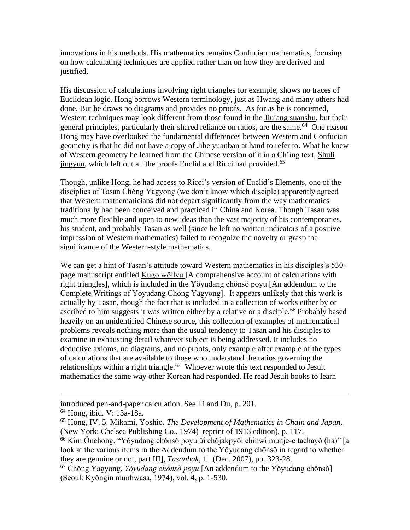innovations in his methods. His mathematics remains Confucian mathematics, focusing on how calculating techniques are applied rather than on how they are derived and justified.

His discussion of calculations involving right triangles for example, shows no traces of Euclidean logic. Hong borrows Western terminology, just as Hwang and many others had done. But he draws no diagrams and provides no proofs. As for as he is concerned, Western techniques may look different from those found in the Jiujang suanshu, but their general principles, particularly their shared reliance on ratios, are the same.<sup>64</sup> One reason Hong may have overlooked the fundamental differences between Western and Confucian geometry is that he did not have a copy of Jihe yuanban at hand to refer to. What he knew of Western geometry he learned from the Chinese version of it in a Ch'ing text, Shuli jingyun, which left out all the proofs Euclid and Ricci had provided.<sup>65</sup>

Though, unlike Hong, he had access to Ricci's version of Euclid's Elements, one of the disciplies of Tasan Chŏng Yagyong (we don't know which disciple) apparently agreed that Western mathematicians did not depart significantly from the way mathematics traditionally had been conceived and practiced in China and Korea. Though Tasan was much more flexible and open to new ideas than the vast majority of his contemporaries, his student, and probably Tasan as well (since he left no written indicators of a positive impression of Western mathematics) failed to recognize the novelty or grasp the significance of the Western-style mathematics.

We can get a hint of Tasan's attitude toward Western mathematics in his disciples's 530 page manuscript entitled Kugo wŏllyu [A comprehensive account of calculations with right triangles], which is included in the Yŏyudang chŏnsŏ poyu [An addendum to the Complete Writings of Yŏyudang Chŏng Yagyong]. It appears unlikely that this work is actually by Tasan, though the fact that is included in a collection of works either by or ascribed to him suggests it was written either by a relative or a disciple.<sup>66</sup> Probably based heavily on an unidentified Chinese source, this collection of examples of mathematical problems reveals nothing more than the usual tendency to Tasan and his disciples to examine in exhausting detail whatever subject is being addressed. It includes no deductive axioms, no diagrams, and no proofs, only example after example of the types of calculations that are available to those who understand the ratios governing the relationships within a right triangle.<sup>67</sup> Whoever wrote this text responded to Jesuit mathematics the same way other Korean had responded. He read Jesuit books to learn

introduced pen-and-paper calculation. See Li and Du, p. 201.

<sup>64</sup> Hong, ibid. V: 13a-18a.

<sup>65</sup> Hong, IV. 5. Mikami, Yoshio. *The Development of Mathematics in Chain and Japan*. (New York: Chelsea Publishing Co., 1974) reprint of 1913 edition), p. 117.

<sup>66</sup> Kim Ŏnchong, "Yŏyudang chŏnsŏ poyu ŭi chŏjakpyŏl chinwi munje-e taehayŏ (ha)" [a look at the various items in the Addendum to the Yŏyudang chŏnsŏ in regard to whether they are genuine or not, part III], *Tasanhak*, 11 (Dec. 2007), pp. 323-28.

<sup>67</sup> Chŏng Yagyong, *Yŏyudang chŏnsŏ poyu* [An addendum to the Yŏyudang chŏnsŏ] (Seoul: Kyŏngin munhwasa, 1974), vol. 4, p. 1-530.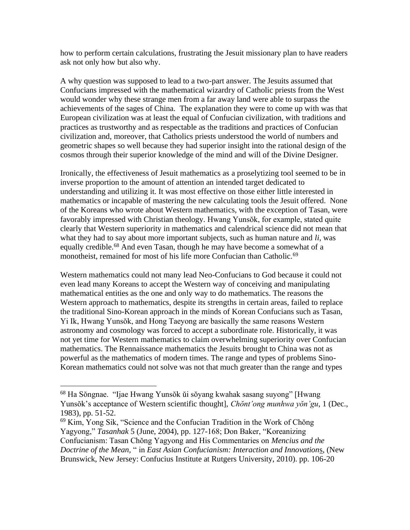how to perform certain calculations, frustrating the Jesuit missionary plan to have readers ask not only how but also why.

A why question was supposed to lead to a two-part answer. The Jesuits assumed that Confucians impressed with the mathematical wizardry of Catholic priests from the West would wonder why these strange men from a far away land were able to surpass the achievements of the sages of China. The explanation they were to come up with was that European civilization was at least the equal of Confucian civilization, with traditions and practices as trustworthy and as respectable as the traditions and practices of Confucian civilization and, moreover, that Catholics priests understood the world of numbers and geometric shapes so well because they had superior insight into the rational design of the cosmos through their superior knowledge of the mind and will of the Divine Designer.

Ironically, the effectiveness of Jesuit mathematics as a proselytizing tool seemed to be in inverse proportion to the amount of attention an intended target dedicated to understanding and utilizing it. It was most effective on those either little interested in mathematics or incapable of mastering the new calculating tools the Jesuit offered. None of the Koreans who wrote about Western mathematics, with the exception of Tasan, were favorably impressed with Christian theology. Hwang Yunsŏk, for example, stated quite clearly that Western superiority in mathematics and calendrical science did not mean that what they had to say about more important subjects, such as human nature and *li*, was equally credible.<sup>68</sup> And even Tasan, though he may have become a somewhat of a monotheist, remained for most of his life more Confucian than Catholic.<sup>69</sup>

Western mathematics could not many lead Neo-Confucians to God because it could not even lead many Koreans to accept the Western way of conceiving and manipulating mathematical entities as the one and only way to do mathematics. The reasons the Western approach to mathematics, despite its strengths in certain areas, failed to replace the traditional Sino-Korean approach in the minds of Korean Confucians such as Tasan, Yi Ik, Hwang Yunsŏk, and Hong Taeyong are basically the same reasons Western astronomy and cosmology was forced to accept a subordinate role. Historically, it was not yet time for Western mathematics to claim overwhelming superiority over Confucian mathematics. The Rennaissance mathematics the Jesuits brought to China was not as powerful as the mathematics of modern times. The range and types of problems Sino-Korean mathematics could not solve was not that much greater than the range and types

<sup>68</sup> Ha Sŏngnae. "Ijae Hwang Yunsŏk ŭi sŏyang kwahak sasang suyong" [Hwang Yunsŏk's acceptance of Western scientific thought], *Chŏnt'ong munhwa yŏn'gu*, 1 (Dec., 1983), pp. 51-52.

<sup>69</sup> Kim, Yong Sik, "Science and the Confucian Tradition in the Work of Chŏng Yagyong," *Tasanhak* 5 (June, 2004), pp. 127-168; Don Baker, "Koreanizing Confucianism: Tasan Chŏng Yagyong and His Commentaries on *Mencius and the Doctrine of the Mean,* " in *East Asian Confucianism: Interaction and Innovation*s, (New Brunswick, New Jersey: Confucius Institute at Rutgers University, 2010). pp. 106-20